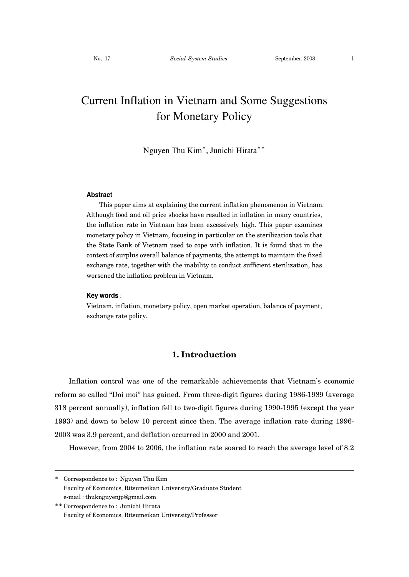# Current Inflation in Vietnam and Some Suggestions for Monetary Policy

Nguyen Thu Kim\*, Junichi Hirata\*\*

#### **Abstract**

This paper aims at explaining the current inflation phenomenon in Vietnam. Although food and oil price shocks have resulted in inflation in many countries, the inflation rate in Vietnam has been excessively high. This paper examines monetary policy in Vietnam, focusing in particular on the sterilization tools that the State Bank of Vietnam used to cope with inflation. It is found that in the context of surplus overall balance of payments, the attempt to maintain the fixed exchange rate, together with the inability to conduct sufficient sterilization, has worsened the inflation problem in Vietnam.

#### **Key words** :

Vietnam, inflation, monetary policy, open market operation, balance of payment, exchange rate policy.

# **1. Introduction**

Inflation control was one of the remarkable achievements that Vietnam's economic reform so called "Doi moi" has gained. From three-digit figures during 1986-1989 (average 318 percent annually), inflation fell to two-digit figures during 1990-1995 (except the year 1993) and down to below 10 percent since then. The average inflation rate during 1996- 2003 was 3.9 percent, and deflation occurred in 2000 and 2001.

However, from 2004 to 2006, the inflation rate soared to reach the average level of 8.2

<sup>\*</sup> Correspondence to : Nguyen Thu Kim Faculty of Economics, Ritsumeikan University/Graduate Student e-mail : thuknguyenjp@gmail.com

<sup>\*\*</sup> Correspondence to : Junichi Hirata Faculty of Economics, Ritsumeikan University/Professor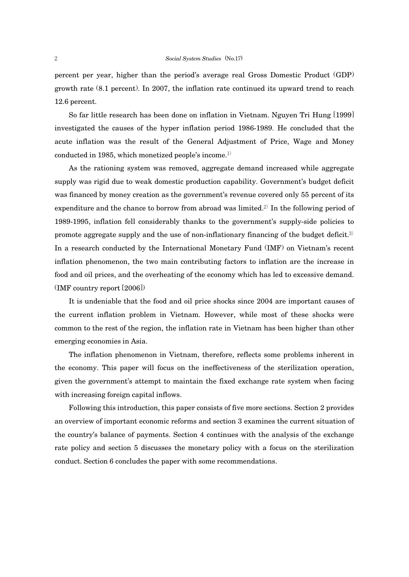percent per year, higher than the period's average real Gross Domestic Product (GDP) growth rate (8.1 percent). In 2007, the inflation rate continued its upward trend to reach 12.6 percent.

So far little research has been done on inflation in Vietnam. Nguyen Tri Hung [1999] investigated the causes of the hyper inflation period 1986-1989. He concluded that the acute inflation was the result of the General Adjustment of Price, Wage and Money conducted in 1985, which monetized people's income.1)

As the rationing system was removed, aggregate demand increased while aggregate supply was rigid due to weak domestic production capability. Government's budget deficit was financed by money creation as the government's revenue covered only 55 percent of its expenditure and the chance to borrow from abroad was limited.<sup>2)</sup> In the following period of 1989-1995, inflation fell considerably thanks to the government's supply-side policies to promote aggregate supply and the use of non-inflationary financing of the budget deficit.<sup>3)</sup> In a research conducted by the International Monetary Fund (IMF) on Vietnam's recent inflation phenomenon, the two main contributing factors to inflation are the increase in food and oil prices, and the overheating of the economy which has led to excessive demand. (IMF country report [2006])

It is undeniable that the food and oil price shocks since 2004 are important causes of the current inflation problem in Vietnam. However, while most of these shocks were common to the rest of the region, the inflation rate in Vietnam has been higher than other emerging economies in Asia.

The inflation phenomenon in Vietnam, therefore, reflects some problems inherent in the economy. This paper will focus on the ineffectiveness of the sterilization operation, given the government's attempt to maintain the fixed exchange rate system when facing with increasing foreign capital inflows.

Following this introduction, this paper consists of five more sections. Section 2 provides an overview of important economic reforms and section 3 examines the current situation of the country's balance of payments. Section 4 continues with the analysis of the exchange rate policy and section 5 discusses the monetary policy with a focus on the sterilization conduct. Section 6 concludes the paper with some recommendations.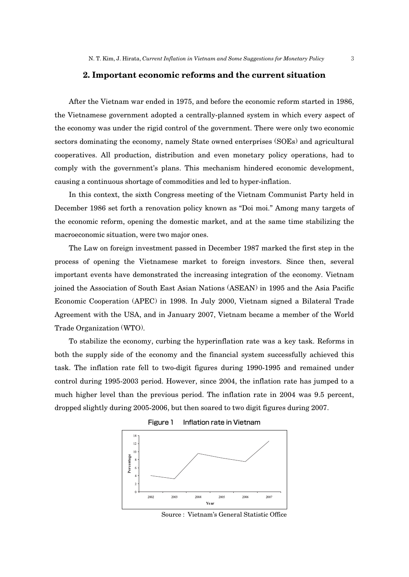## **2. Important economic reforms and the current situation**

After the Vietnam war ended in 1975, and before the economic reform started in 1986, the Vietnamese government adopted a centrally-planned system in which every aspect of the economy was under the rigid control of the government. There were only two economic sectors dominating the economy, namely State owned enterprises (SOEs) and agricultural cooperatives. All production, distribution and even monetary policy operations, had to comply with the government's plans. This mechanism hindered economic development, causing a continuous shortage of commodities and led to hyper-inflation.

In this context, the sixth Congress meeting of the Vietnam Communist Party held in December 1986 set forth a renovation policy known as "Doi moi." Among many targets of the economic reform, opening the domestic market, and at the same time stabilizing the macroeconomic situation, were two major ones.

The Law on foreign investment passed in December 1987 marked the first step in the process of opening the Vietnamese market to foreign investors. Since then, several important events have demonstrated the increasing integration of the economy. Vietnam joined the Association of South East Asian Nations (ASEAN) in 1995 and the Asia Pacific Economic Cooperation (APEC) in 1998. In July 2000, Vietnam signed a Bilateral Trade Agreement with the USA, and in January 2007, Vietnam became a member of the World Trade Organization (WTO).

To stabilize the economy, curbing the hyperinflation rate was a key task. Reforms in both the supply side of the economy and the financial system successfully achieved this task. The inflation rate fell to two-digit figures during 1990-1995 and remained under control during 1995-2003 period. However, since 2004, the inflation rate has jumped to a much higher level than the previous period. The inflation rate in 2004 was 9.5 percent, dropped slightly during 2005-2006, but then soared to two digit figures during 2007.



Figure 1 Inflation rate in Vietnam

Source : Vietnam's General Statistic Office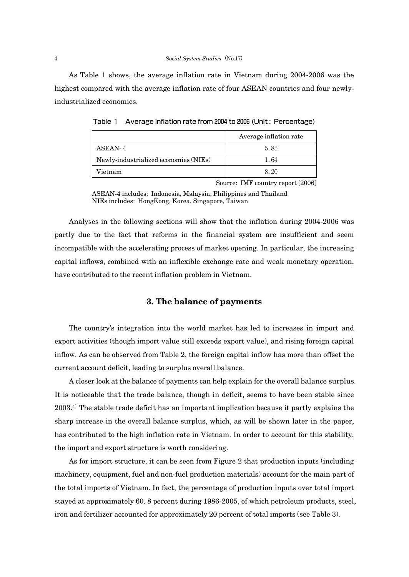As Table 1 shows, the average inflation rate in Vietnam during 2004-2006 was the highest compared with the average inflation rate of four ASEAN countries and four newlyindustrialized economies.

|                                       | Average inflation rate |
|---------------------------------------|------------------------|
| ASEAN-4                               | 5.85                   |
| Newly-industrialized economies (NIEs) | 1.64                   |
| Vietnam                               | 8.20                   |

Table 1 Average inflation rate from 2004 to 2006 (Unit: Percentage)

Source: IMF country report [2006]

ASEAN-4 includes: Indonesia, Malaysia, Philippines and Thailand NIEs includes: HongKong, Korea, Singapore, Taiwan

Analyses in the following sections will show that the inflation during 2004-2006 was partly due to the fact that reforms in the financial system are insufficient and seem incompatible with the accelerating process of market opening. In particular, the increasing capital inflows, combined with an inflexible exchange rate and weak monetary operation, have contributed to the recent inflation problem in Vietnam.

# **3. The balance of payments**

The country's integration into the world market has led to increases in import and export activities (though import value still exceeds export value), and rising foreign capital inflow. As can be observed from Table 2, the foreign capital inflow has more than offset the current account deficit, leading to surplus overall balance.

A closer look at the balance of payments can help explain for the overall balance surplus. It is noticeable that the trade balance, though in deficit, seems to have been stable since  $2003<sup>4</sup>$ . The stable trade deficit has an important implication because it partly explains the sharp increase in the overall balance surplus, which, as will be shown later in the paper, has contributed to the high inflation rate in Vietnam. In order to account for this stability, the import and export structure is worth considering.

As for import structure, it can be seen from Figure 2 that production inputs (including machinery, equipment, fuel and non-fuel production materials) account for the main part of the total imports of Vietnam. In fact, the percentage of production inputs over total import stayed at approximately 60. 8 percent during 1986-2005, of which petroleum products, steel, iron and fertilizer accounted for approximately 20 percent of total imports (see Table 3).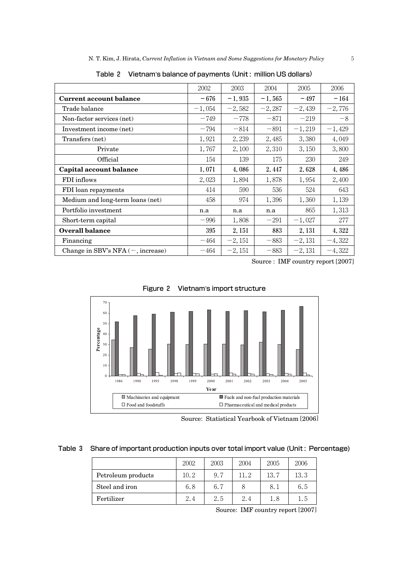|                                            | 2002     | 2003     | 2004     | 2005     | 2006     |
|--------------------------------------------|----------|----------|----------|----------|----------|
| <b>Current account balance</b>             | $-676$   | $-1,935$ | $-1,565$ | $-497$   | $-164$   |
| Trade balance                              | $-1,054$ | $-2,582$ | $-2,287$ | $-2,439$ | $-2,776$ |
| Non-factor services (net)                  | $-749$   | $-778$   | $-871$   | $-219$   | $-8$     |
| Investment income (net)                    | $-794$   | $-814$   | $-891$   | $-1,219$ | $-1,429$ |
| Transfers (net)                            | 1,921    | 2,239    | 2,485    | 3,380    | 4,049    |
| Private                                    | 1,767    | 2,100    | 2,310    | 3,150    | 3,800    |
| Official                                   | 154      | 139      | 175      | 230      | 249      |
| Capital account balance                    | 1,071    | 4,086    | 2,447    | 2,628    | 4,486    |
| FDI inflows                                | 2,023    | 1,894    | 1,878    | 1,954    | 2,400    |
| FDI loan repayments                        | 414      | 590      | 536      | 524      | 643      |
| Medium and long-term loans (net)           | 458      | 974      | 1,396    | 1,360    | 1,139    |
| Portfolio investment                       | n.a      | n.a      | n.a      | 865      | 1,313    |
| Short-term capital                         | $-996$   | 1,808    | $-291$   | $-1,027$ | 277      |
| <b>Overall balance</b>                     | 395      | 2, 151   | 883      | 2, 131   | 4,322    |
| Financing                                  | $-464$   | $-2,151$ | $-883$   | $-2,131$ | $-4,322$ |
| Change in SBV's NFA $(-, \text{increase})$ | $-464$   | $-2,151$ | $-883$   | $-2,131$ | $-4,322$ |

Table 2 Vietnam's balance of payments (Unit : million US dollars)

Source : IMF country report [2007]



Figure 2 Vietnam's import structure

Source: Statistical Yearbook of Vietnam [2006]

Table 3 Share of important production inputs over total import value (Unit : Percentage)

|                    | 2002 | 2003 | 2004 | 2005 | 2006 |
|--------------------|------|------|------|------|------|
| Petroleum products | 10.2 | 9.7  | 11.2 | 13.7 | 13.3 |
| Steel and iron     | 6.8  | 6.7  |      | 8.1  | 6.5  |
| Fertilizer         | 2.4  | 2.5  | 2.4  | 1.8  | 1.5  |

Source: IMF country report [2007]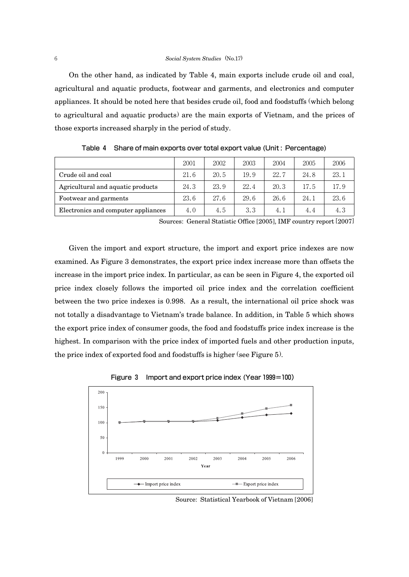On the other hand, as indicated by Table 4, main exports include crude oil and coal, agricultural and aquatic products, footwear and garments, and electronics and computer appliances. It should be noted here that besides crude oil, food and foodstuffs (which belong to agricultural and aquatic products) are the main exports of Vietnam, and the prices of those exports increased sharply in the period of study.

|                                     | 2001 | 2002 | 2003 | 2004 | 2005 | 2006 |
|-------------------------------------|------|------|------|------|------|------|
| Crude oil and coal                  | 21.6 | 20.5 | 19.9 | 22.7 | 24.8 | 23.1 |
| Agricultural and aquatic products   | 24.3 | 23.9 | 22.4 | 20.3 | 17.5 | 17.9 |
| Footwear and garments               | 23.6 | 27.6 | 29.6 | 26.6 | 24.1 | 23.6 |
| Electronics and computer appliances | 4.0  | 4.5  | 3.3  | 4.1  | 4.4  | 4.3  |

Table 4 Share of main exports over total export value (Unit : Percentage)

Sources: General Statistic Office [2005], IMF country report [2007]

Given the import and export structure, the import and export price indexes are now examined. As Figure 3 demonstrates, the export price index increase more than offsets the increase in the import price index. In particular, as can be seen in Figure 4, the exported oil price index closely follows the imported oil price index and the correlation coefficient between the two price indexes is 0.998. As a result, the international oil price shock was not totally a disadvantage to Vietnam's trade balance. In addition, in Table 5 which shows the export price index of consumer goods, the food and foodstuffs price index increase is the highest. In comparison with the price index of imported fuels and other production inputs, the price index of exported food and foodstuffs is higher (see Figure 5).





Source: Statistical Yearbook of Vietnam [2006]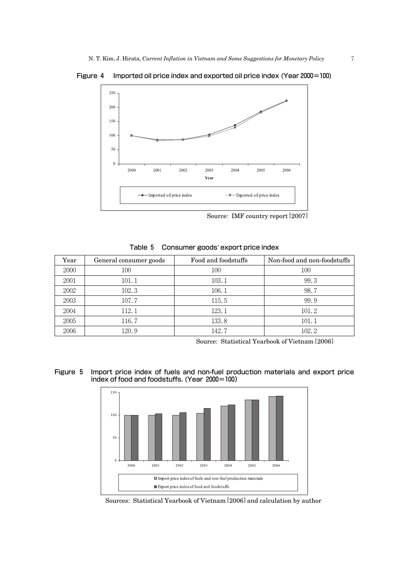Figure 4 Imported oil price index and exported oil price index (Year2000=100)



Source: IMF country report [2007]

| Table 5 Consumer goods' export price index |  |  |  |  |  |
|--------------------------------------------|--|--|--|--|--|
|                                            |  |  |  |  |  |

| Year | General consumer goods | Food and foodstuffs | Non-food and non-foodstuffs |
|------|------------------------|---------------------|-----------------------------|
| 2000 | 100                    | 100                 | 100                         |
| 2001 | 101.1                  | 103.1               | 99.3                        |
| 2002 | 102.3                  | 106.1               | 98.7                        |
| 2003 | 107.7                  | 115.5               | 99.9                        |
| 2004 | 112.1                  | 123.1               | 101.2                       |
| 2005 | 116.7                  | 133.8               | 101.1                       |
| 2006 | 120.9                  | 142.7               | 102.2                       |

Source: Statistical Yearbook of Vietnam [2006]

Figure 5 Import price index of fuels and non-fuel production materials and export price index of food and foodstuffs. (Year 2000=100)



Sources: Statistical Yearbook of Vietnam [2006] and calculation by author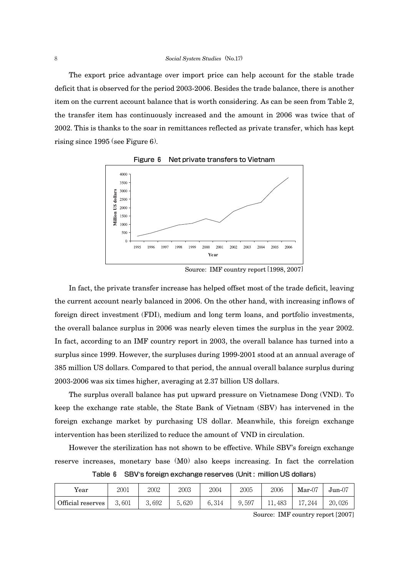The export price advantage over import price can help account for the stable trade deficit that is observed for the period 2003-2006. Besides the trade balance, there is another item on the current account balance that is worth considering. As can be seen from Table 2, the transfer item has continuously increased and the amount in 2006 was twice that of 2002. This is thanks to the soar in remittances reflected as private transfer, which has kept rising since 1995 (see Figure 6).



Figure 6 Net private transfers to Vietnam

Source: IMF country report [1998, 2007]

In fact, the private transfer increase has helped offset most of the trade deficit, leaving the current account nearly balanced in 2006. On the other hand, with increasing inflows of foreign direct investment (FDI), medium and long term loans, and portfolio investments, the overall balance surplus in 2006 was nearly eleven times the surplus in the year 2002. In fact, according to an IMF country report in 2003, the overall balance has turned into a surplus since 1999. However, the surpluses during 1999-2001 stood at an annual average of 385 million US dollars. Compared to that period, the annual overall balance surplus during 2003-2006 was six times higher, averaging at 2.37 billion US dollars.

The surplus overall balance has put upward pressure on Vietnamese Dong (VND). To keep the exchange rate stable, the State Bank of Vietnam (SBV) has intervened in the foreign exchange market by purchasing US dollar. Meanwhile, this foreign exchange intervention has been sterilized to reduce the amount of VND in circulation.

However the sterilization has not shown to be effective. While SBV's foreign exchange reserve increases, monetary base (M0) also keeps increasing. In fact the correlation

Table 6 SBV's foreign exchange reserves (Unit : million US dollars)

| Year              | 2001  | 2002       | 2003  | 2004  | 2005  | 2006 | $Mar-07$ | $Jun-07$ |
|-------------------|-------|------------|-------|-------|-------|------|----------|----------|
| Official reserves | 3.601 | .692<br>o. | 5.620 | 6.314 | 9,597 | 483  | 17.244   | 20,026   |

Source: IMF country report [2007]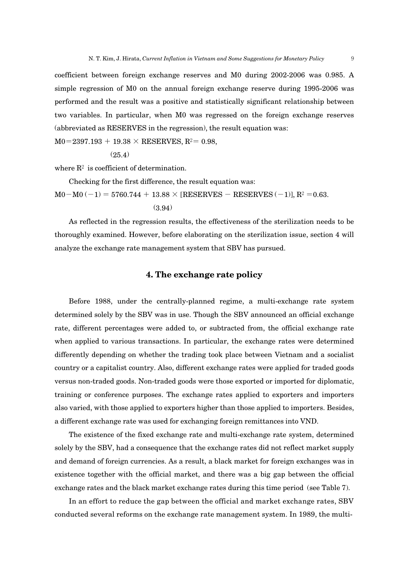performed and the result was a positive and statistically significant relationship between two variables. In particular, when M0 was regressed on the foreign exchange reserves (abbreviated as RESERVES in the regression), the result equation was:

 $M0=2397.193 + 19.38 \times RESERVES, R<sup>2</sup>= 0.98,$ 

```
(25.4)
```
where  $\mathbb{R}^2$  is coefficient of determination.

Checking for the first difference, the result equation was:

 $M0-M0 (-1) = 5760.744 + 13.88 \times [RESERVES - RESERVES (-1)], R<sup>2</sup> = 0.63.$ (3.94)

As reflected in the regression results, the effectiveness of the sterilization needs to be thoroughly examined. However, before elaborating on the sterilization issue, section 4 will analyze the exchange rate management system that SBV has pursued.

## **4. The exchange rate policy**

Before 1988, under the centrally-planned regime, a multi-exchange rate system determined solely by the SBV was in use. Though the SBV announced an official exchange rate, different percentages were added to, or subtracted from, the official exchange rate when applied to various transactions. In particular, the exchange rates were determined differently depending on whether the trading took place between Vietnam and a socialist country or a capitalist country. Also, different exchange rates were applied for traded goods versus non-traded goods. Non-traded goods were those exported or imported for diplomatic, training or conference purposes. The exchange rates applied to exporters and importers also varied, with those applied to exporters higher than those applied to importers. Besides, a different exchange rate was used for exchanging foreign remittances into VND.

The existence of the fixed exchange rate and multi-exchange rate system, determined solely by the SBV, had a consequence that the exchange rates did not reflect market supply and demand of foreign currencies. As a result, a black market for foreign exchanges was in existence together with the official market, and there was a big gap between the official exchange rates and the black market exchange rates during this time period (see Table 7).

In an effort to reduce the gap between the official and market exchange rates, SBV conducted several reforms on the exchange rate management system. In 1989, the multi-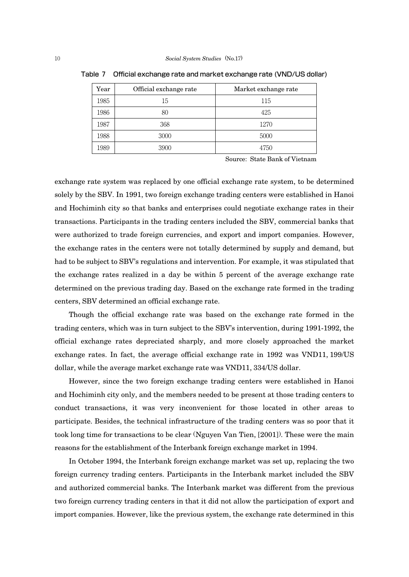| Year | Official exchange rate | Market exchange rate |
|------|------------------------|----------------------|
| 1985 | 15                     | 115                  |
| 1986 | 80                     | 425                  |
| 1987 | 368                    | 1270                 |
| 1988 | 3000                   | 5000                 |
| 1989 | 3900                   | 4750                 |

Table 7 Official exchange rate and market exchange rate (VND/US dollar)

Source: State Bank of Vietnam

exchange rate system was replaced by one official exchange rate system, to be determined solely by the SBV. In 1991, two foreign exchange trading centers were established in Hanoi and Hochiminh city so that banks and enterprises could negotiate exchange rates in their transactions. Participants in the trading centers included the SBV, commercial banks that were authorized to trade foreign currencies, and export and import companies. However, the exchange rates in the centers were not totally determined by supply and demand, but had to be subject to SBV's regulations and intervention. For example, it was stipulated that the exchange rates realized in a day be within 5 percent of the average exchange rate determined on the previous trading day. Based on the exchange rate formed in the trading centers, SBV determined an official exchange rate.

Though the official exchange rate was based on the exchange rate formed in the trading centers, which was in turn subject to the SBV's intervention, during 1991-1992, the official exchange rates depreciated sharply, and more closely approached the market exchange rates. In fact, the average official exchange rate in 1992 was VND11, 199/US dollar, while the average market exchange rate was VND11, 334/US dollar.

However, since the two foreign exchange trading centers were established in Hanoi and Hochiminh city only, and the members needed to be present at those trading centers to conduct transactions, it was very inconvenient for those located in other areas to participate. Besides, the technical infrastructure of the trading centers was so poor that it took long time for transactions to be clear (Nguyen Van Tien, [2001]). These were the main reasons for the establishment of the Interbank foreign exchange market in 1994.

In October 1994, the Interbank foreign exchange market was set up, replacing the two foreign currency trading centers. Participants in the Interbank market included the SBV and authorized commercial banks. The Interbank market was different from the previous two foreign currency trading centers in that it did not allow the participation of export and import companies. However, like the previous system, the exchange rate determined in this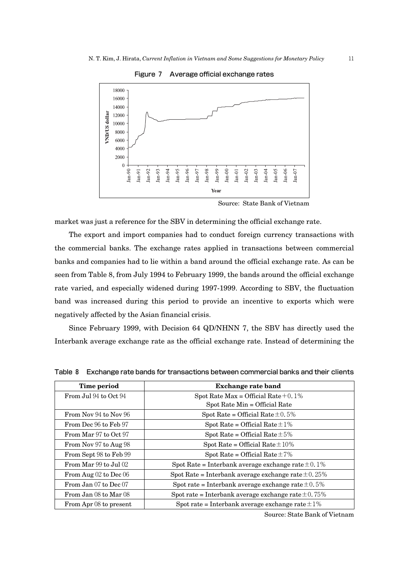Figure 7 Average official exchange rates



Source: State Bank of Vietnam

market was just a reference for the SBV in determining the official exchange rate.

The export and import companies had to conduct foreign currency transactions with the commercial banks. The exchange rates applied in transactions between commercial banks and companies had to lie within a band around the official exchange rate. As can be seen from Table 8, from July 1994 to February 1999, the bands around the official exchange rate varied, and especially widened during 1997-1999. According to SBV, the fluctuation band was increased during this period to provide an incentive to exports which were negatively affected by the Asian financial crisis.

Since February 1999, with Decision 64 QD/NHNN 7, the SBV has directly used the Interbank average exchange rate as the official exchange rate. Instead of determining the

| Time period               | Exchange rate band                                       |
|---------------------------|----------------------------------------------------------|
| From Jul 94 to Oct 94     | Spot Rate Max = Official Rate +0.1%                      |
|                           | Spot Rate Min = Official Rate                            |
| From Nov 94 to Nov 96     | Spot Rate = Official Rate $\pm 0.5\%$                    |
| From Dec 96 to Feb 97     | Spot Rate = Official Rate $\pm 1\%$                      |
| From Mar 97 to Oct 97     | Spot Rate = Official Rate $\pm 5\%$                      |
| From Nov 97 to Aug 98     | Spot Rate = Official Rate $\pm 10\%$                     |
| From Sept 98 to Feb 99    | Spot Rate = Official Rate $\pm 7\%$                      |
| From Mar 99 to Jul 02     | Spot Rate = Interbank average exchange rate $\pm 0.1\%$  |
| From Aug $02$ to Dec $06$ | Spot Rate = Interbank average exchange rate $\pm 0.25\%$ |
| From Jan $07$ to Dec $07$ | Spot rate = Interbank average exchange rate $\pm 0.5\%$  |
| From Jan 08 to Mar 08     | Spot rate = Interbank average exchange rate $\pm 0.75\%$ |
| From Apr 08 to present    | Spot rate = Interbank average exchange rate $\pm 1\%$    |

Table 8 Exchange rate bands for transactions between commercial banks and their clients

Source: State Bank of Vietnam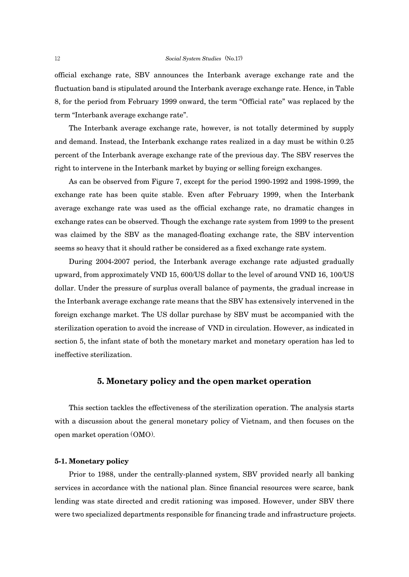official exchange rate, SBV announces the Interbank average exchange rate and the fluctuation band is stipulated around the Interbank average exchange rate. Hence, in Table 8, for the period from February 1999 onward, the term "Official rate" was replaced by the term "Interbank average exchange rate".

The Interbank average exchange rate, however, is not totally determined by supply and demand. Instead, the Interbank exchange rates realized in a day must be within 0.25 percent of the Interbank average exchange rate of the previous day. The SBV reserves the right to intervene in the Interbank market by buying or selling foreign exchanges.

As can be observed from Figure 7, except for the period 1990-1992 and 1998-1999, the exchange rate has been quite stable. Even after February 1999, when the Interbank average exchange rate was used as the official exchange rate, no dramatic changes in exchange rates can be observed. Though the exchange rate system from 1999 to the present was claimed by the SBV as the managed-floating exchange rate, the SBV intervention seems so heavy that it should rather be considered as a fixed exchange rate system.

During 2004-2007 period, the Interbank average exchange rate adjusted gradually upward, from approximately VND 15, 600/US dollar to the level of around VND 16, 100/US dollar. Under the pressure of surplus overall balance of payments, the gradual increase in the Interbank average exchange rate means that the SBV has extensively intervened in the foreign exchange market. The US dollar purchase by SBV must be accompanied with the sterilization operation to avoid the increase of VND in circulation. However, as indicated in section 5, the infant state of both the monetary market and monetary operation has led to ineffective sterilization.

## **5. Monetary policy and the open market operation**

This section tackles the effectiveness of the sterilization operation. The analysis starts with a discussion about the general monetary policy of Vietnam, and then focuses on the open market operation (OMO).

### **5-1. Monetary policy**

Prior to 1988, under the centrally-planned system, SBV provided nearly all banking services in accordance with the national plan. Since financial resources were scarce, bank lending was state directed and credit rationing was imposed. However, under SBV there were two specialized departments responsible for financing trade and infrastructure projects.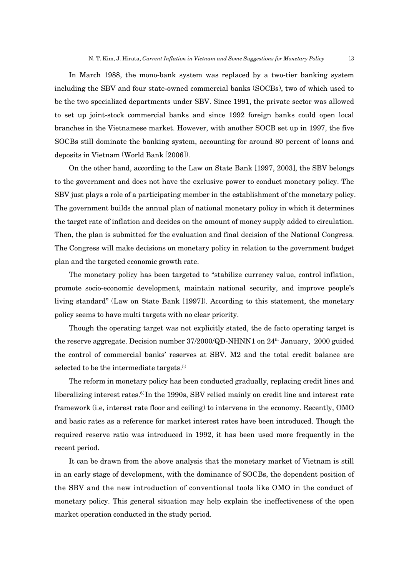In March 1988, the mono-bank system was replaced by a two-tier banking system including the SBV and four state-owned commercial banks (SOCBs), two of which used to be the two specialized departments under SBV. Since 1991, the private sector was allowed to set up joint-stock commercial banks and since 1992 foreign banks could open local branches in the Vietnamese market. However, with another SOCB set up in 1997, the five SOCBs still dominate the banking system, accounting for around 80 percent of loans and deposits in Vietnam (World Bank [2006]).

On the other hand, according to the Law on State Bank [1997, 2003], the SBV belongs to the government and does not have the exclusive power to conduct monetary policy. The SBV just plays a role of a participating member in the establishment of the monetary policy. The government builds the annual plan of national monetary policy in which it determines the target rate of inflation and decides on the amount of money supply added to circulation. Then, the plan is submitted for the evaluation and final decision of the National Congress. The Congress will make decisions on monetary policy in relation to the government budget plan and the targeted economic growth rate.

The monetary policy has been targeted to "stabilize currency value, control inflation, promote socio-economic development, maintain national security, and improve people's living standard" (Law on State Bank [1997]). According to this statement, the monetary policy seems to have multi targets with no clear priority.

Though the operating target was not explicitly stated, the de facto operating target is the reserve aggregate. Decision number 37/2000/QD-NHNN1 on 24<sup>th</sup> January, 2000 guided the control of commercial banks' reserves at SBV. M2 and the total credit balance are selected to be the intermediate targets. $5$ 

The reform in monetary policy has been conducted gradually, replacing credit lines and liberalizing interest rates.<sup>6)</sup>In the 1990s, SBV relied mainly on credit line and interest rate framework (i.e, interest rate floor and ceiling) to intervene in the economy. Recently, OMO and basic rates as a reference for market interest rates have been introduced. Though the required reserve ratio was introduced in 1992, it has been used more frequently in the recent period.

It can be drawn from the above analysis that the monetary market of Vietnam is still in an early stage of development, with the dominance of SOCBs, the dependent position of the SBV and the new introduction of conventional tools like OMO in the conduct of monetary policy. This general situation may help explain the ineffectiveness of the open market operation conducted in the study period.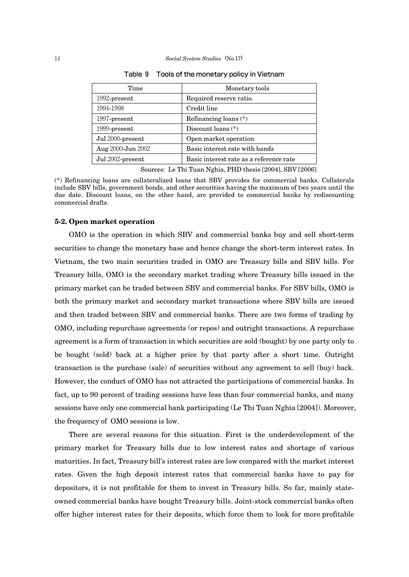| Time              | Monetary tools                          |
|-------------------|-----------------------------------------|
| 1992-present      | Required reserve ratio.                 |
| 1994-1998         | Credit line                             |
| 1997-present      | Refinancing loans $(*)$                 |
| 1999-present      | Discount loans $(*)$                    |
| Jul 2000-present  | Open market operation                   |
| Aug 2000-Jun 2002 | Basic interest rate with bands          |
| Jul 2002-present  | Basic interest rate as a reference rate |

Table 9 Tools of the monetary policy in Vietnam

Sources: Le Thi Tuan Nghia, PHD thesis [2004], SBV [2006]

(\*) Refinancing loans are collateralized loans that SBV provides for commercial banks. Collaterals include SBV bills, government bonds, and other securities having the maximum of two years until the due date. Discount loans, on the other hand, are provided to commercial banks by rediscounting commercial drafts.

#### **5-2. Open market operation**

OMO is the operation in which SBV and commercial banks buy and sell short-term securities to change the monetary base and hence change the short-term interest rates. In Vietnam, the two main securities traded in OMO are Treasury bills and SBV bills. For Treasury bills, OMO is the secondary market trading where Treasury bills issued in the primary market can be traded between SBV and commercial banks. For SBV bills, OMO is both the primary market and secondary market transactions where SBV bills are issued and then traded between SBV and commercial banks. There are two forms of trading by OMO, including repurchase agreements (or repos) and outright transactions. A repurchase agreement is a form of transaction in which securities are sold (bought) by one party only to be bought (sold) back at a higher price by that party after a short time. Outright transaction is the purchase (sale) of securities without any agreement to sell (buy) back. However, the conduct of OMO has not attracted the participations of commercial banks. In fact, up to 90 percent of trading sessions have less than four commercial banks, and many sessions have only one commercial bank participating (Le Thi Tuan Nghia [2004]). Moreover, the frequency of OMO sessions is low.

There are several reasons for this situation. First is the underdevelopment of the primary market for Treasury bills due to low interest rates and shortage of various maturities. In fact, Treasury bill's interest rates are low compared with the market interest rates. Given the high deposit interest rates that commercial banks have to pay for depositors, it is not profitable for them to invest in Treasury bills. So far, mainly stateowned commercial banks have bought Treasury bills. Joint-stock commercial banks often offer higher interest rates for their deposits, which force them to look for more profitable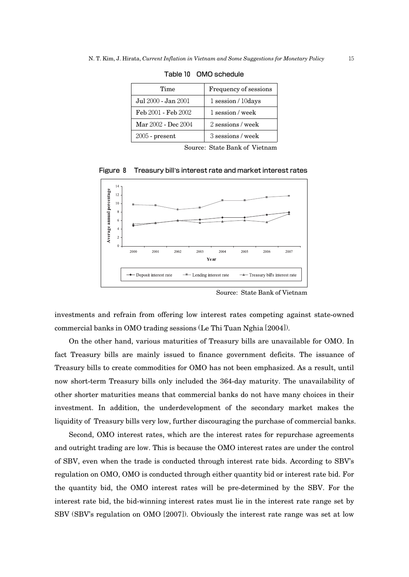| Time                | Frequency of sessions   |
|---------------------|-------------------------|
| Jul 2000 - Jan 2001 | $1$ session / $10$ days |
| Feb 2001 - Feb 2002 | 1 session / week        |
| Mar 2002 - Dec 2004 | 2 sessions/week         |
| $2005$ - present    | 3 sessions / week       |

Table 10 OMO schedule

Source: State Bank of Vietnam



Figure 8 Treasury bill's interest rate and market interest rates

Source: State Bank of Vietnam

investments and refrain from offering low interest rates competing against state-owned commercial banks in OMO trading sessions (Le Thi Tuan Nghia [2004]).

On the other hand, various maturities of Treasury bills are unavailable for OMO. In fact Treasury bills are mainly issued to finance government deficits. The issuance of Treasury bills to create commodities for OMO has not been emphasized. As a result, until now short-term Treasury bills only included the 364-day maturity. The unavailability of other shorter maturities means that commercial banks do not have many choices in their investment. In addition, the underdevelopment of the secondary market makes the liquidity of Treasury bills very low, further discouraging the purchase of commercial banks.

Second, OMO interest rates, which are the interest rates for repurchase agreements and outright trading are low. This is because the OMO interest rates are under the control of SBV, even when the trade is conducted through interest rate bids. According to SBV's regulation on OMO, OMO is conducted through either quantity bid or interest rate bid. For the quantity bid, the OMO interest rates will be pre-determined by the SBV. For the interest rate bid, the bid-winning interest rates must lie in the interest rate range set by SBV (SBV's regulation on OMO [2007]). Obviously the interest rate range was set at low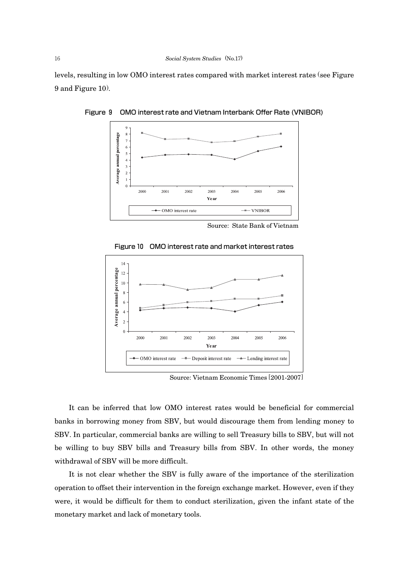levels, resulting in low OMO interest rates compared with market interest rates (see Figure 9 and Figure 10).



Figure 9 OMO interest rate and Vietnam Interbank Offer Rate (VNIBOR)

Source: State Bank of Vietnam



Figure 10 OMO interest rate and market interest rates

Source: Vietnam Economic Times [2001-2007]

It can be inferred that low OMO interest rates would be beneficial for commercial banks in borrowing money from SBV, but would discourage them from lending money to SBV. In particular, commercial banks are willing to sell Treasury bills to SBV, but will not be willing to buy SBV bills and Treasury bills from SBV. In other words, the money withdrawal of SBV will be more difficult.

It is not clear whether the SBV is fully aware of the importance of the sterilization operation to offset their intervention in the foreign exchange market. However, even if they were, it would be difficult for them to conduct sterilization, given the infant state of the monetary market and lack of monetary tools.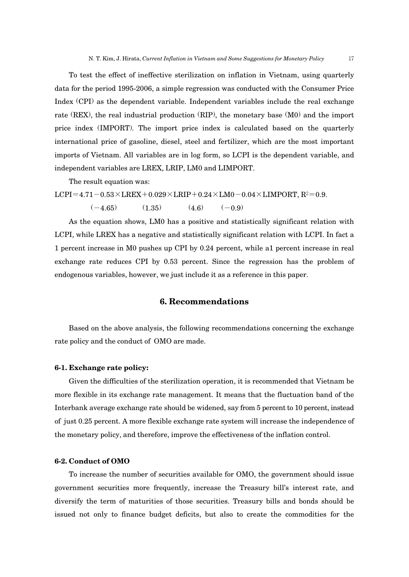To test the effect of ineffective sterilization on inflation in Vietnam, using quarterly data for the period 1995-2006, a simple regression was conducted with the Consumer Price Index (CPI) as the dependent variable. Independent variables include the real exchange rate (REX), the real industrial production (RIP), the monetary base (M0) and the import price index (IMPORT). The import price index is calculated based on the quarterly international price of gasoline, diesel, steel and fertilizer, which are the most important imports of Vietnam. All variables are in log form, so LCPI is the dependent variable, and independent variables are LREX, LRIP, LM0 and LIMPORT.

The result equation was:

$$
LCPI = 4.71 - 0.53 \times LREX + 0.029 \times LRIP + 0.24 \times LMO - 0.04 \times LIMPORT, R2 = 0.9.
$$
  
(-4.65) (1.35) (4.6) (-0.9)

As the equation shows, LM0 has a positive and statistically significant relation with LCPI, while LREX has a negative and statistically significant relation with LCPI. In fact a 1 percent increase in M0 pushes up CPI by 0.24 percent, while a1 percent increase in real exchange rate reduces CPI by 0.53 percent. Since the regression has the problem of endogenous variables, however, we just include it as a reference in this paper.

## **6. Recommendations**

Based on the above analysis, the following recommendations concerning the exchange rate policy and the conduct of OMO are made.

#### **6-1. Exchange rate policy:**

Given the difficulties of the sterilization operation, it is recommended that Vietnam be more flexible in its exchange rate management. It means that the fluctuation band of the Interbank average exchange rate should be widened, say from 5 percent to 10 percent, instead of just 0.25 percent. A more flexible exchange rate system will increase the independence of the monetary policy, and therefore, improve the effectiveness of the inflation control.

#### **6-2. Conduct of OMO**

To increase the number of securities available for OMO, the government should issue government securities more frequently, increase the Treasury bill's interest rate, and diversify the term of maturities of those securities. Treasury bills and bonds should be issued not only to finance budget deficits, but also to create the commodities for the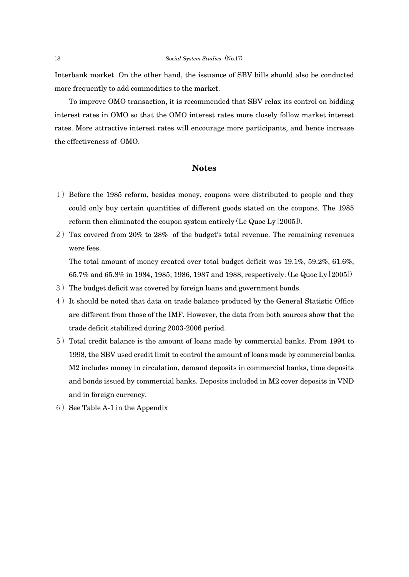Interbank market. On the other hand, the issuance of SBV bills should also be conducted more frequently to add commodities to the market.

To improve OMO transaction, it is recommended that SBV relax its control on bidding interest rates in OMO so that the OMO interest rates more closely follow market interest rates. More attractive interest rates will encourage more participants, and hence increase the effectiveness of OMO.

## **Notes**

- 1)Before the 1985 reform, besides money, coupons were distributed to people and they could only buy certain quantities of different goods stated on the coupons. The 1985 reform then eliminated the coupon system entirely (Le Quoc Ly [2005]).
- 2) Tax covered from 20% to 28% of the budget's total revenue. The remaining revenues were fees.

The total amount of money created over total budget deficit was 19.1%, 59.2%, 61.6%, 65.7% and 65.8% in 1984, 1985, 1986, 1987 and 1988, respectively. (Le Quoc Ly [2005])

- 3) The budget deficit was covered by foreign loans and government bonds.
- 4) It should be noted that data on trade balance produced by the General Statistic Office are different from those of the IMF. However, the data from both sources show that the trade deficit stabilized during 2003-2006 period.
- 5)Total credit balance is the amount of loans made by commercial banks. From 1994 to 1998, the SBV used credit limit to control the amount of loans made by commercial banks. M2 includes money in circulation, demand deposits in commercial banks, time deposits and bonds issued by commercial banks. Deposits included in M2 cover deposits in VND and in foreign currency.
- $6)$  See Table A-1 in the Appendix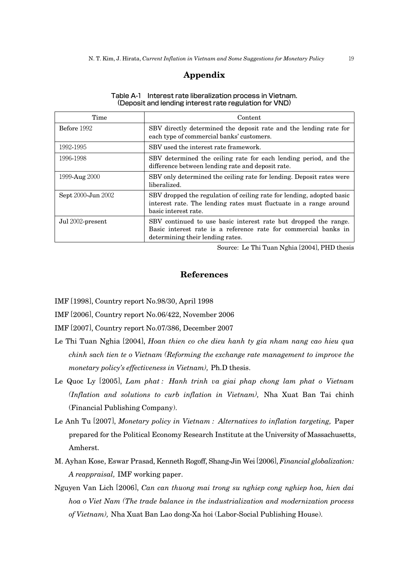# **Appendix**

#### Table A-1 Interest rate liberalization process in Vietnam. (Deposit and lending interest rate regulation for VND)

| Time               | Content                                                                                                                                                                |
|--------------------|------------------------------------------------------------------------------------------------------------------------------------------------------------------------|
| Before 1992        | SBV directly determined the deposit rate and the lending rate for<br>each type of commercial banks' customers.                                                         |
| 1992-1995          | SBV used the interest rate framework.                                                                                                                                  |
| 1996-1998          | SBV determined the ceiling rate for each lending period, and the<br>difference between lending rate and deposit rate.                                                  |
| 1999-Aug 2000      | SBV only determined the ceiling rate for lending. Deposit rates were<br>liberalized.                                                                                   |
| Sept 2000-Jun 2002 | SBV dropped the regulation of ceiling rate for lending, adopted basic<br>interest rate. The lending rates must fluctuate in a range around<br>basic interest rate.     |
| Jul 2002-present   | SBV continued to use basic interest rate but dropped the range.<br>Basic interest rate is a reference rate for commercial banks in<br>determining their lending rates. |

Source: Le Thi Tuan Nghia [2004], PHD thesis

#### **References**

- IMF [1998], Country report No.98/30, April 1998
- IMF [2006], Country report No.06/422, November 2006
- IMF [2007], Country report No.07/386, December 2007
- Le Thi Tuan Nghia [2004], *Hoan thien co che dieu hanh ty gia nham nang cao hieu qua chinh sach tien te o Vietnam (Reforming the exchange rate management to improve the monetary policy's effectiveness in Vietnam),* Ph.D thesis.
- Le Quoc Ly [2005], *Lam phat : Hanh trinh va giai phap chong lam phat o Vietnam (Inflation and solutions to curb inflation in Vietnam),* Nha Xuat Ban Tai chinh (Financial Publishing Company).
- Le Anh Tu [2007], *Monetary policy in Vietnam : Alternatives to inflation targeting,* Paper prepared for the Political Economy Research Institute at the University of Massachusetts, Amherst.
- M. Ayhan Kose, Eswar Prasad, Kenneth Rogoff, Shang-Jin Wei [2006], *Financial globalization: A reappraisal,* IMF working paper.
- Nguyen Van Lich [2006], *Can can thuong mai trong su nghiep cong nghiep hoa, hien dai hoa o Viet Nam (The trade balance in the industrialization and modernization process of Vietnam),* Nha Xuat Ban Lao dong-Xa hoi (Labor-Social Publishing House).